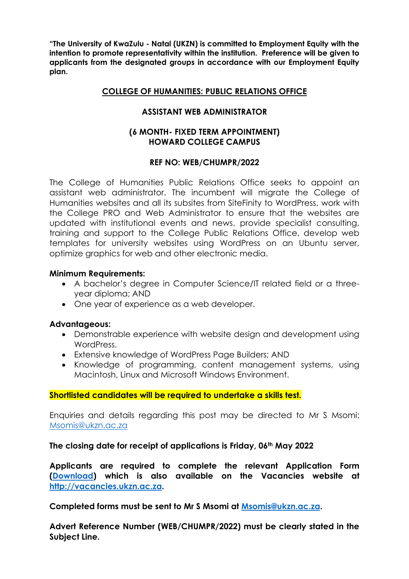**"The University of KwaZulu - Natal (UKZN) is committed to Employment Equity with the intention to promote representativity within the institution. Preference will be given to applicants from the designated groups in accordance with our Employment Equity plan.** 

# **COLLEGE OF HUMANITIES: PUBLIC RELATIONS OFFICE**

# **ASSISTANT WEB ADMINISTRATOR**

### **(6 MONTH- FIXED TERM APPOINTMENT) HOWARD COLLEGE CAMPUS**

### **REF NO: WEB/CHUMPR/2022**

The College of Humanities Public Relations Office seeks to appoint an assistant web administrator. The incumbent will migrate the College of Humanities websites and all its subsites from SiteFinity to WordPress, work with the College PRO and Web Administrator to ensure that the websites are updated with institutional events and news, provide specialist consulting, training and support to the College Public Relations Office, develop web templates for university websites using WordPress on an Ubuntu server, optimize graphics for web and other electronic media.

#### **Minimum Requirements:**

- A bachelor's degree in Computer Science/IT related field or a threeyear diploma; AND
- One year of experience as a web developer.

#### **Advantageous:**

- Demonstrable experience with website design and development using WordPress.
- Extensive knowledge of WordPress Page Builders; AND
- Knowledge of programming, content management systems, using Macintosh, Linux and Microsoft Windows Environment.

#### **Shortlisted candidates will be required to undertake a skills test.**

Enquiries and details regarding this post may be directed to Mr S Msomi: [Msomis@ukzn.ac.za](mailto:Msomis@ukzn.ac.za)

#### **The closing date for receipt of applications is Friday, 06th May 2022**

**Applicants are required to complete the relevant Application Form [\(Download\)](http://vacancies.ukzn.ac.za/Libraries/General_Documents/Application_form_-_Support.sflb.ashx?download=true) which is also available on the Vacancies website at [http://vacancies.ukzn.ac.za.](http://vacancies.ukzn.ac.za/)** 

**Completed forms must be sent to Mr S Msomi at [Msomis@ukzn.ac.za.](mailto:Msomis@ukzn.ac.za)** 

**Advert Reference Number (WEB/CHUMPR/2022) must be clearly stated in the Subject Line.**